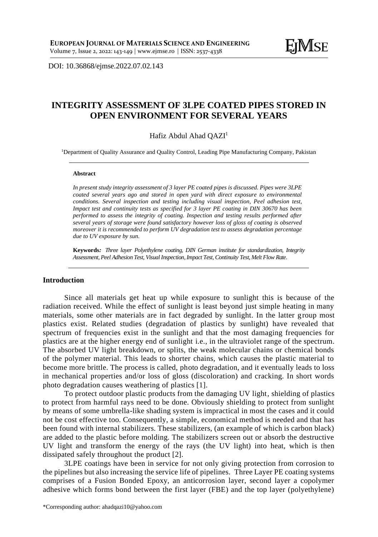DOI: [10.36868/ejmse.2022.07.02.1](http://ejmse.ro/articles/07_02_06_EJMSE-22-170.pdf)43

## **INTEGRITY ASSESSMENT OF 3LPE COATED PIPES STORED IN OPEN ENVIRONMENT FOR SEVERAL YEARS**

#### Hafiz Abdul Ahad QAZI<sup>1</sup>

<sup>1</sup>Department of Quality Assurance and Quality Control, Leading Pipe Manufacturing Company, Pakistan

#### **Abstract**

*In present study integrity assessment of 3 layer PE coated pipes is discussed. Pipes were 3LPE coated several years ago and stored in open yard with direct exposure to environmental conditions. Several inspection and testing including visual inspection, Peel adhesion test, Impact test and continuity tests as specified for 3 layer PE coating in DIN 30670 has been performed to assess the integrity of coating. Inspection and testing results performed after several years of storage were found satisfactory however loss of gloss of coating is observed moreover it is recommended to perform UV degradation test to assess degradation percentage due to UV exposure by sun.*

**Keywords***: Three layer Polyethylene coating, DIN German institute for standardization, Integrity Assessment, Peel Adhesion Test, Visual Inspection, Impact Test, Continuity Test, Melt Flow Rate.*

#### **Introduction**

Since all materials get heat up while exposure to sunlight this is because of the radiation received. While the effect of sunlight is least beyond just simple heating in many materials, some other materials are in fact degraded by sunlight. In the latter group most plastics exist. Related studies (degradation of plastics by sunlight) have revealed that spectrum of frequencies exist in the sunlight and that the most damaging frequencies for plastics are at the higher energy end of sunlight i.e., in the ultraviolet range of the spectrum. The absorbed UV light breakdown, or splits, the weak molecular chains or chemical bonds of the polymer material. This leads to shorter chains, which causes the plastic material to become more brittle. The process is called, photo degradation, and it eventually leads to loss in mechanical properties and/or loss of gloss (discoloration) and cracking. In short words photo degradation causes weathering of plastics [1].

To protect outdoor plastic products from the damaging UV light, shielding of plastics to protect from harmful rays need to be done. Obviously shielding to protect from sunlight by means of some umbrella-like shading system is impractical in most the cases and it could not be cost effective too. Consequently, a simple, economical method is needed and that has been found with internal stabilizers. These stabilizers, (an example of which is carbon black) are added to the plastic before molding. The stabilizers screen out or absorb the destructive UV light and transform the energy of the rays (the UV light) into heat, which is then dissipated safely throughout the product [2].

3LPE coatings have been in service for not only giving protection from corrosion to the pipelines but also increasing the service life of pipelines. Three Layer PE coating systems comprises of a Fusion Bonded Epoxy, an anticorrosion layer, second layer a copolymer adhesive which forms bond between the first layer (FBE) and the top layer (polyethylene)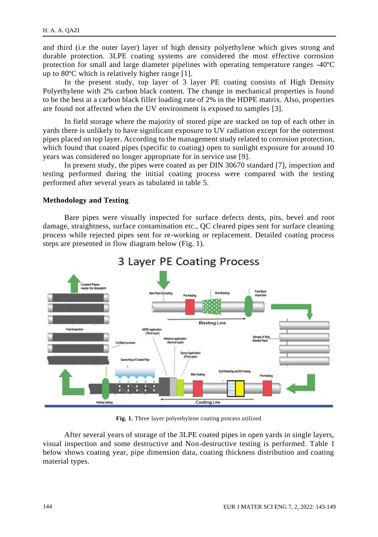and third (i.e the outer layer) layer of high density polyethylene which gives strong and durable protection. 3LPE coating systems are considered the most effective corrosion protection for small and large diameter pipelines with operating temperature ranges -40ºC up to 80ºC which is relatively higher range [1].

In the present study, top layer of 3 layer PE coating consists of High Density Polyethylene with 2% carbon black content. The change in mechanical properties is found to be the best at a carbon black filler loading rate of 2% in the HDPE matrix. Also, properties are found not affected when the UV environment is exposed to samples [3].

In field storage where the majority of stored pipe are stacked on top of each other in yards there is unlikely to have significant exposure to UV radiation except for the outermost pipes placed on top layer. According to the management study related to corrosion protection, which found that coated pipes (specific to coating) open to sunlight exposure for around 10 years was considered no longer appropriate for in service use [9].

In present study, the pipes were coated as per DIN 30670 standard [7], inspection and testing performed during the initial coating process were compared with the testing performed after several years as tabulated in table 5.

#### **Methodology and Testing**

Bare pipes were visually inspected for surface defects dents, pits, bevel and root damage, straightness, surface contamination etc., QC cleared pipes sent for surface cleaning process while rejected pipes sent for re-working or replacement. Detailed coating process steps are presented in flow diagram below (Fig. 1).



# 3 Layer PE Coating Process

**Fig. 1.** Three layer polyethylene coating process utilized

After several years of storage of the 3LPE coated pipes in open yards in single layers, visual inspection and some destructive and Non-destructive testing is performed. Table 1 below shows coating year, pipe dimension data, coating thickness distribution and coating material types.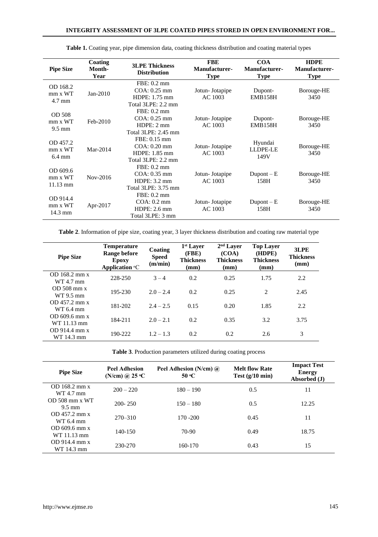| <b>Pipe Size</b>                        | Coating<br>Month-<br>Year | <b>3LPE Thickness</b><br><b>Distribution</b>                               | <b>FBE</b><br>Manufacturer-<br><b>Type</b> | <b>COA</b><br>Manufacturer-<br><b>Type</b> | <b>HDPE</b><br>Manufacturer-<br><b>Type</b> |
|-----------------------------------------|---------------------------|----------------------------------------------------------------------------|--------------------------------------------|--------------------------------------------|---------------------------------------------|
| OD 168.2<br>mm x WT<br>$4.7 \text{ mm}$ | $Jan-2010$                | FBE: 0.2 mm<br>$COA: 0.25$ mm<br>HDPE: 1.75 mm<br>Total 3LPE: 2.2 mm       | Jotun-Jotapipe<br>AC 1003                  | Dupont-<br>EMB158H                         | Borouge-HE<br>3450                          |
| OD 508<br>mm x WT<br>$9.5 \text{ mm}$   | Feb-2010                  | FBE: 0.2 mm<br>$COA: 0.25$ mm<br>HDPE: 2 mm<br>Total 3LPE: 2.45 mm         | Jotun-Jotapipe<br>AC 1003                  | Dupont-<br>EMB158H                         | Borouge-HE<br>3450                          |
| OD 457.2<br>mm x WT<br>$6.4 \text{ mm}$ | Mar-2014                  | FBE: 0.15 mm<br>$COA: 0.20$ mm<br>$HDPE: 1.85$ mm<br>Total 3LPE: 2.2 mm    | Jotun-Jotapipe<br>AC 1003                  | Hyundai<br>LLDPE-LE<br>149V                | Borouge-HE<br>3450                          |
| OD 609.6<br>mm x WT<br>11.13 mm         | Nov-2016                  | FBE: 0.2 mm<br>$COA: 0.35$ mm<br>HDPE: 3.2 mm<br>Total 3LPE: 3.75 mm       | Jotun-Jotapipe<br>AC 1003                  | $D$ upont $-E$<br>158H                     | Borouge-HE<br>3450                          |
| OD 914.4<br>mm x WT<br>14.3 mm          | Apr-2017                  | FBE: 0.2 mm<br>$COA: 0.2 \text{ mm}$<br>$HDPE: 2.6$ mm<br>Total 3LPE: 3 mm | Jotun-Jotapipe<br>AC 1003                  | $D$ upont $-E$<br>158H                     | Borouge-HE<br>3450                          |

**Table 1.** Coating year, pipe dimension data, coating thickness distribution and coating material types

**Table 2**. Information of pipe size, coating year, 3 layer thickness distribution and coating raw material type

| <b>Pipe Size</b>              | <b>Temperature</b><br>Range before<br>Epoxy<br>Application $\mathrm{P}\mathrm{C}$ | Coating<br><b>Speed</b><br>(m/min) | 1 <sup>st</sup> Laver<br>(FBE)<br><b>Thickness</b><br>(mm) | 2 <sup>nd</sup> Layer<br>(COA)<br><b>Thickness</b><br>(mm) | <b>Top Layer</b><br>(HDPE)<br><b>Thickness</b><br>(mm) | 3LPE<br><b>Thickness</b><br>(mm) |
|-------------------------------|-----------------------------------------------------------------------------------|------------------------------------|------------------------------------------------------------|------------------------------------------------------------|--------------------------------------------------------|----------------------------------|
| OD 168.2 mm x<br>WT 4.7 mm    | 228-250                                                                           | $3 - 4$                            | 0.2                                                        | 0.25                                                       | 1.75                                                   | 2.2                              |
| $OD 508$ mm x<br>WT 9.5 mm    | 195-230                                                                           | $2.0 - 2.4$                        | 0.2                                                        | 0.25                                                       | 2                                                      | 2.45                             |
| $OD$ 457.2 mm x<br>WT 6.4 mm  | 181-202                                                                           | $2.4 - 2.5$                        | 0.15                                                       | 0.20                                                       | 1.85                                                   | 2.2                              |
| OD 609.6 mm x<br>WT 11.13 mm  | 184-211                                                                           | $2.0 - 2.1$                        | 0.2                                                        | 0.35                                                       | 3.2                                                    | 3.75                             |
| $OD$ 914.4 mm x<br>WT 14.3 mm | 190-222                                                                           | $1.2 - 1.3$                        | 0.2                                                        | 0.2                                                        | 2.6                                                    | 3                                |

**Table 3**. Production parameters utilized during coating process

| <b>Pipe Size</b>                     | <b>Peel Adhesion</b><br>(N/cm) @ $25 °C$ | Peel Adhesion (N/cm) $\omega$<br>50 °C | <b>Melt flow Rate</b><br>Test $(g/10 \text{ min})$ | <b>Impact Test</b><br><b>Energy</b><br>Absorbed (J) |
|--------------------------------------|------------------------------------------|----------------------------------------|----------------------------------------------------|-----------------------------------------------------|
| OD 168.2 mm x<br>WT 4.7 mm           | $200 - 220$                              | $180 - 190$                            | 0.5                                                | 11                                                  |
| $OD$ 508 mm x WT<br>$9.5 \text{ mm}$ | $200 - 250$                              | $150 - 180$                            | 0.5                                                | 12.25                                               |
| $OD$ 457.2 mm x<br>WT 6.4 mm         | $270 - 310$                              | $170 - 200$                            | 0.45                                               | 11                                                  |
| $OD$ 609.6 mm x<br>WT 11.13 mm       | 140-150                                  | 70-90                                  | 0.49                                               | 18.75                                               |
| $OD$ 914.4 mm x<br>WT 14.3 mm        | 230-270                                  | 160-170                                | 0.43                                               | 15                                                  |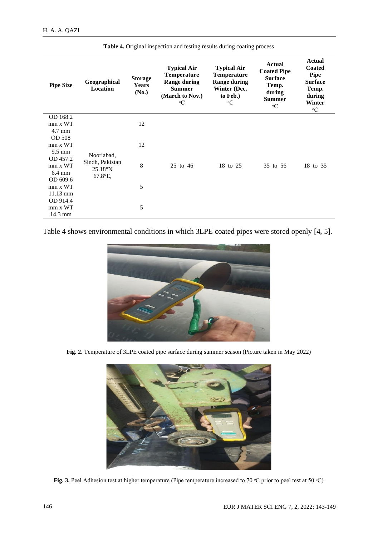| <b>Pipe Size</b>                          | Geographical<br>Location                               | <b>Storage</b><br><b>Years</b><br>(No.) | <b>Typical Air</b><br><b>Temperature</b><br><b>Range during</b><br><b>Summer</b><br>(March to Nov.)<br>еC | <b>Typical Air</b><br><b>Temperature</b><br><b>Range during</b><br>Winter (Dec.<br>to Feb.)<br>$\rm ^{e}C$ | Actual<br><b>Coated Pipe</b><br><b>Surface</b><br>Temp.<br>during<br><b>Summer</b><br>$\rm ^{e}C$ | <b>Actual</b><br><b>Coated</b><br><b>Pipe</b><br><b>Surface</b><br>Temp.<br>during<br>Winter<br>$\rm ^{e}C$ |
|-------------------------------------------|--------------------------------------------------------|-----------------------------------------|-----------------------------------------------------------------------------------------------------------|------------------------------------------------------------------------------------------------------------|---------------------------------------------------------------------------------------------------|-------------------------------------------------------------------------------------------------------------|
| OD 168.2                                  |                                                        |                                         |                                                                                                           |                                                                                                            |                                                                                                   |                                                                                                             |
| mm x WT<br>$4.7 \text{ mm}$               |                                                        | 12                                      |                                                                                                           |                                                                                                            |                                                                                                   |                                                                                                             |
| OD 508                                    |                                                        |                                         |                                                                                                           |                                                                                                            |                                                                                                   |                                                                                                             |
| mm x WT<br>$9.5 \text{ mm}$               |                                                        | 12                                      |                                                                                                           |                                                                                                            |                                                                                                   |                                                                                                             |
| OD 457.2<br>mm x WT<br>6.4 mm<br>OD 609.6 | Nooriabad,<br>Sindh, Pakistan<br>25.18°N<br>$67.8$ °E, | 8                                       | 25 to 46                                                                                                  | 18 to 25                                                                                                   | 35 to 56                                                                                          | 18 to 35                                                                                                    |
| mm x WT                                   |                                                        | 5                                       |                                                                                                           |                                                                                                            |                                                                                                   |                                                                                                             |
| $11.13 \text{ mm}$<br>OD 914.4            |                                                        |                                         |                                                                                                           |                                                                                                            |                                                                                                   |                                                                                                             |
| mm x WT<br>14.3 mm                        |                                                        | 5                                       |                                                                                                           |                                                                                                            |                                                                                                   |                                                                                                             |

**Table 4.** Original inspection and testing results during coating process

Table 4 shows environmental conditions in which 3LPE coated pipes were stored openly [4, 5].



**Fig. 2.** Temperature of 3LPE coated pipe surface during summer season (Picture taken in May 2022)



**Fig.** 3. Peel Adhesion test at higher temperature (Pipe temperature increased to 70 °C prior to peel test at 50 °C)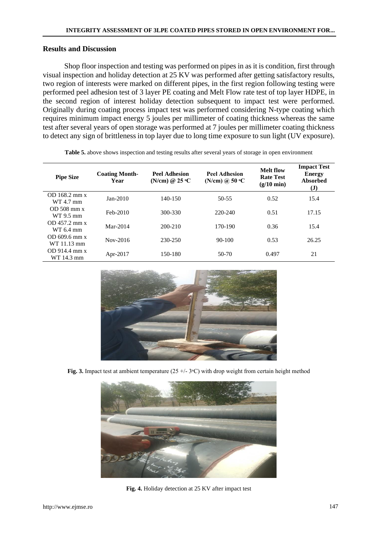#### **Results and Discussion**

Shop floor inspection and testing was performed on pipes in as it is condition, first through visual inspection and holiday detection at 25 KV was performed after getting satisfactory results, two region of interests were marked on different pipes, in the first region following testing were performed peel adhesion test of 3 layer PE coating and Melt Flow rate test of top layer HDPE, in the second region of interest holiday detection subsequent to impact test were performed. Originally during coating process impact test was performed considering N-type coating which requires minimum impact energy 5 joules per millimeter of coating thickness whereas the same test after several years of open storage was performed at 7 joules per millimeter coating thickness to detect any sign of brittleness in top layer due to long time exposure to sun light (UV exposure).

| <b>Pipe Size</b>               | <b>Coating Month-</b><br>Year | <b>Peel Adhesion</b><br>(N/cm) @ $25 °C$ | <b>Peel Adhesion</b><br>(N/cm) @ $50 °C$ | <b>Melt flow</b><br><b>Rate Test</b><br>$(g/10 \text{ min})$ | <b>Impact Test</b><br><b>Energy</b><br>Absorbed<br>(J) |
|--------------------------------|-------------------------------|------------------------------------------|------------------------------------------|--------------------------------------------------------------|--------------------------------------------------------|
| OD 168.2 mm x<br>WT 4.7 mm     | $Jan-2010$                    | $140 - 150$                              | $50 - 55$                                | 0.52                                                         | 15.4                                                   |
| $OD$ 508 mm x<br>WT 9.5 mm     | Feb-2010                      | 300-330                                  | 220-240                                  | 0.51                                                         | 17.15                                                  |
| OD 457.2 mm x<br>WT 6.4 mm     | Mar-2014                      | 200-210                                  | 170-190                                  | 0.36                                                         | 15.4                                                   |
| $OD$ 609.6 mm x<br>WT 11.13 mm | Nov-2016                      | 230-250                                  | $90 - 100$                               | 0.53                                                         | 26.25                                                  |
| $OD$ 914.4 mm x<br>WT 14.3 mm  | Apr-2017                      | 150-180                                  | $50-70$                                  | 0.497                                                        | 21                                                     |

**Table 5.** above shows inspection and testing results after several years of storage in open environment



**Fig. 3.** Impact test at ambient temperature  $(25 + (-3)$ <sup>o</sup>C) with drop weight from certain height method



**Fig. 4.** Holiday detection at 25 KV after impact test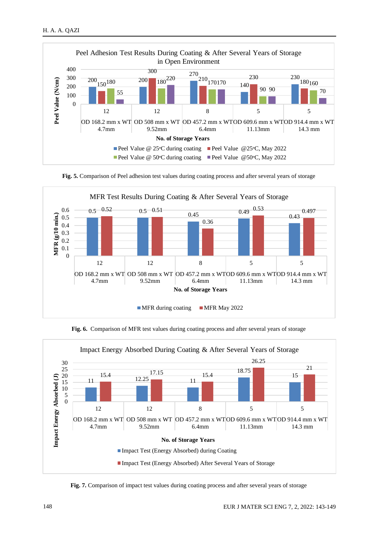

**Fig. 5.** Comparison of Peel adhesion test values during coating process and after several years of storage



**Fig. 6.** Comparison of MFR test values during coating process and after several years of storage



Fig. 7. Comparison of impact test values during coating process and after several years of storage